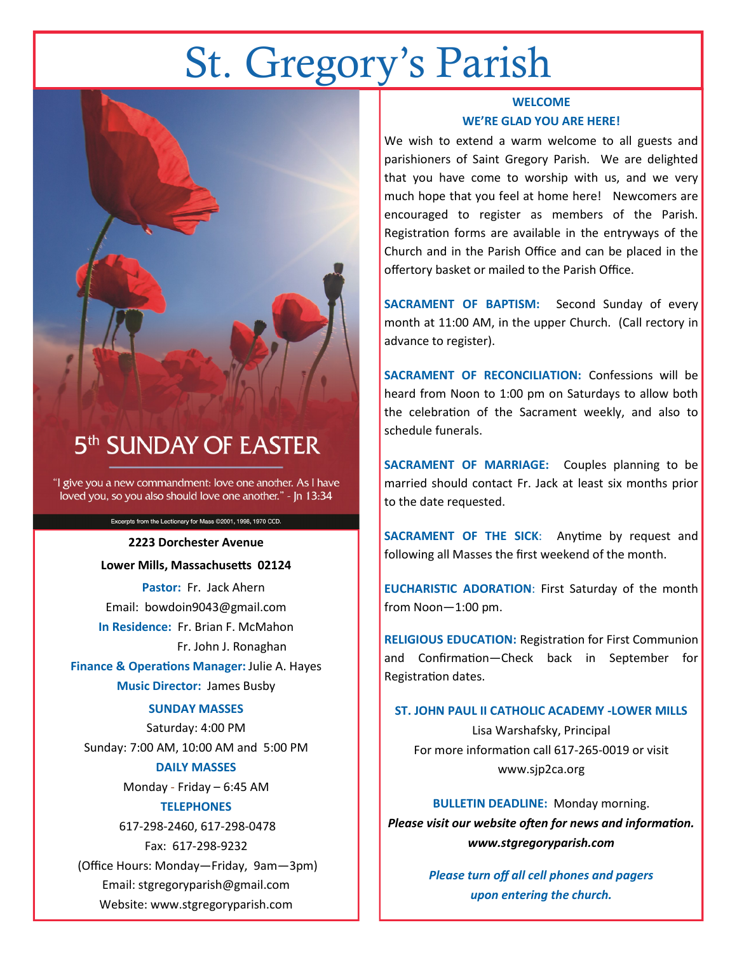# St. Gregory's Parish



## 5<sup>th</sup> SUNDAY OF EASTER

"I give you a new commandment: love one another. As I have loved you, so you also should love one another." - In 13:34

> Excerpts from the Lectionary for Mass @2001, 1998, 1970 CCD. **2223 Dorchester Avenue**

**Lower Mills, Massachusetts 02124 Pastor:** Fr. Jack Ahern Email: bowdoin9043@gmail.com **In Residence:** Fr. Brian F. McMahon Fr. John J. Ronaghan **Finance & Operations Manager:** Julie A. Hayes **Music Director:** James Busby

#### **SUNDAY MASSES**

Saturday: 4:00 PM Sunday: 7:00 AM, 10:00 AM and 5:00 PM **DAILY MASSES**

Monday - Friday – 6:45 AM

#### **TELEPHONES**

617-298-2460, 617-298-0478 Fax: 617-298-9232

(Office Hours: Monday—Friday, 9am—3pm) Email: stgregoryparish@gmail.com Website: www.stgregoryparish.com

#### **WELCOME WE'RE GLAD YOU ARE HERE!**

We wish to extend a warm welcome to all guests and parishioners of Saint Gregory Parish. We are delighted that you have come to worship with us, and we very much hope that you feel at home here! Newcomers are encouraged to register as members of the Parish. Registration forms are available in the entryways of the Church and in the Parish Office and can be placed in the offertory basket or mailed to the Parish Office.

**SACRAMENT OF BAPTISM:** Second Sunday of every month at 11:00 AM, in the upper Church. (Call rectory in advance to register).

**SACRAMENT OF RECONCILIATION:** Confessions will be heard from Noon to 1:00 pm on Saturdays to allow both the celebration of the Sacrament weekly, and also to schedule funerals.

**SACRAMENT OF MARRIAGE:** Couples planning to be married should contact Fr. Jack at least six months prior to the date requested.

**SACRAMENT OF THE SICK**: Anytime by request and following all Masses the first weekend of the month.

**EUCHARISTIC ADORATION**: First Saturday of the month from Noon—1:00 pm.

**RELIGIOUS EDUCATION:** Registration for First Communion and Confirmation—Check back in September for Registration dates.

#### **ST. JOHN PAUL II CATHOLIC ACADEMY -LOWER MILLS**

Lisa Warshafsky, Principal For more information call 617-265-0019 or visit www.sjp2ca.org

**BULLETIN DEADLINE:** Monday morning. *Please visit our website often for news and information. www.stgregoryparish.com*

> *Please turn off all cell phones and pagers upon entering the church.*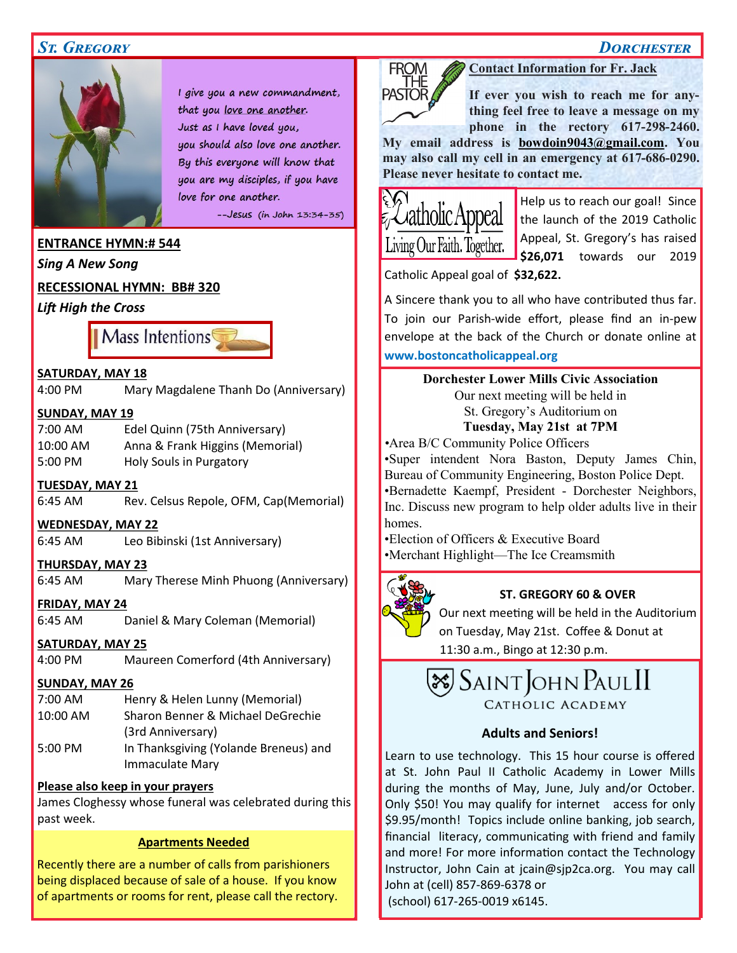#### *St. Gregory Dorchester*



I give you a new commandment, that you love one another. Just as I have loved you, you should also love one another. By this everyone will know that you are my disciples, if you have love for one another.

 $-$ -Jesus (in John 13:34-35)

#### **ENTRANCE HYMN:# 544**

*Sing A New Song*

#### **RECESSIONAL HYMN: BB# 320**

*Lift High the Cross*



#### **SATURDAY, MAY 18**

4:00 PM Mary Magdalene Thanh Do (Anniversary)

#### **SUNDAY, MAY 19**

7:00 AM Edel Quinn (75th Anniversary) 10:00 AM Anna & Frank Higgins (Memorial) 5:00 PM Holy Souls in Purgatory

#### **TUESDAY, MAY 21**

6:45 AM Rev. Celsus Repole, OFM, Cap(Memorial)

#### **WEDNESDAY, MAY 22**

6:45 AM Leo Bibinski (1st Anniversary)

#### **THURSDAY, MAY 23**

6:45 AM Mary Therese Minh Phuong (Anniversary)

#### **FRIDAY, MAY 24**

6:45 AM Daniel & Mary Coleman (Memorial)

#### **SATURDAY, MAY 25**

4:00 PM Maureen Comerford (4th Anniversary)

#### **SUNDAY, MAY 26**

| 7:00 AM   | Henry & Helen Lunny (Memorial)        |
|-----------|---------------------------------------|
| 10:00 AM  | Sharon Benner & Michael DeGrechie     |
|           | (3rd Anniversary)                     |
| $5:00$ PM | In Thanksgiving (Yolande Breneus) and |
|           | <b>Immaculate Mary</b>                |

#### **Please also keep in your prayers**

James Cloghessy whose funeral was celebrated during this past week.

#### **Apartments Needed**

Recently there are a number of calls from parishioners being displaced because of sale of a house. If you know of apartments or rooms for rent, please call the rectory.

#### **Contact Information for Fr. Jack**

**If ever you wish to reach me for anything feel free to leave a message on my phone in the rectory 617-298-2460.** 

**My email address is [bowdoin9043@gmail.com.](mailto:bowdoin9043@gmail.com) You may also call my cell in an emergency at 617-686-0290. Please never hesitate to contact me.**



FROM

**PASTOR** 

Help us to reach our goal! Since the launch of the 2019 Catholic Appeal, St. Gregory's has raised **\$26,071** towards our 2019

Catholic Appeal goal of **\$32,622.**

A Sincere thank you to all who have contributed thus far. To join our Parish-wide effort, please find an in-pew envelope at the back of the Church or donate online at **www.bostoncatholicappeal.org**

> **Dorchester Lower Mills Civic Association** Our next meeting will be held in St. Gregory's Auditorium on **Tuesday, May 21st at 7PM**

*•*Area B/C Community Police Officers

•Super intendent Nora Baston, Deputy James Chin, Bureau of Community Engineering, Boston Police Dept. •Bernadette Kaempf, President - Dorchester Neighbors, Inc. Discuss new program to help older adults live in their homes.

•Election of Officers & Executive Board •Merchant Highlight—The Ice Creamsmith



#### **ST. GREGORY 60 & OVER**

Our next meeting will be held in the Auditorium

on Tuesday, May 21st. Coffee & Donut at

11:30 a.m., Bingo at 12:30 p.m.

## $\mathcal{\overline{S}}$ Saint John Paul II CATHOLIC ACADEMY

#### **Adults and Seniors!**

Learn to use technology. This 15 hour course is offered at St. John Paul II Catholic Academy in Lower Mills during the months of May, June, July and/or October. Only \$50! You may qualify for internet access for only \$9.95/month! Topics include online banking, job search, financial literacy, communicating with friend and family and more! For more information contact the Technology Instructor, John Cain at jcain@sjp2ca.org. You may call John at (cell) 857-869-6378 or (school) 617-265-0019 x6145.